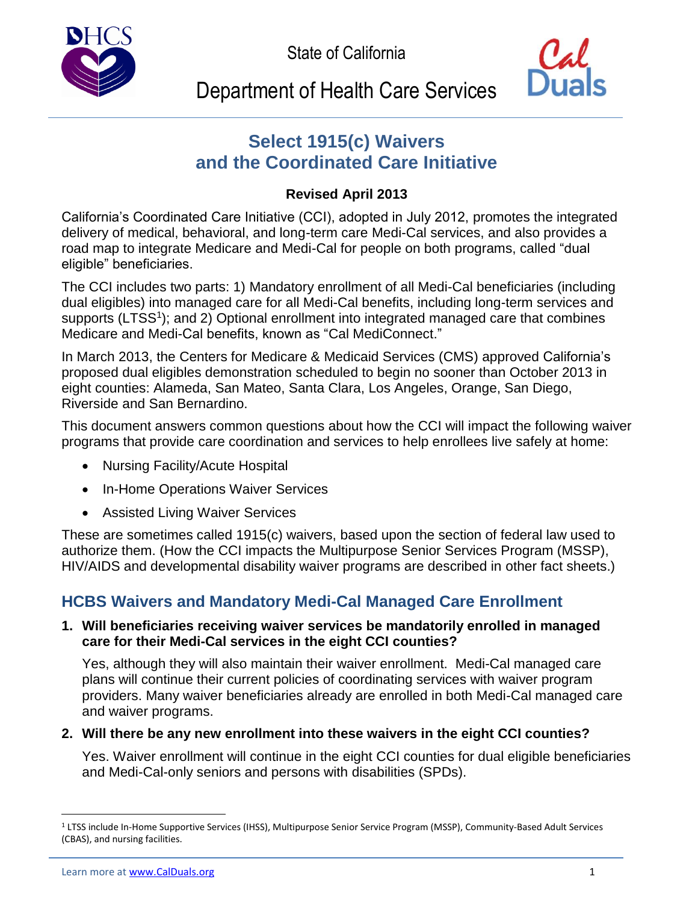State of California





# Department of Health Care Services

# **Select 1915(c) Waivers and the Coordinated Care Initiative**

### **Revised April 2013**

California's Coordinated Care Initiative (CCI), adopted in July 2012, promotes the integrated delivery of medical, behavioral, and long-term care Medi-Cal services, and also provides a road map to integrate Medicare and Medi-Cal for people on both programs, called "dual eligible" beneficiaries.

The CCI includes two parts: 1) Mandatory enrollment of all Medi-Cal beneficiaries (including dual eligibles) into managed care for all Medi-Cal benefits, including long-term services and supports (LTSS<sup>1</sup>); and 2) Optional enrollment into integrated managed care that combines Medicare and Medi-Cal benefits, known as "Cal MediConnect."

In March 2013, the Centers for Medicare & Medicaid Services (CMS) approved California's proposed dual eligibles demonstration scheduled to begin no sooner than October 2013 in eight counties: Alameda, San Mateo, Santa Clara, Los Angeles, Orange, San Diego, Riverside and San Bernardino.

This document answers common questions about how the CCI will impact the following waiver programs that provide care coordination and services to help enrollees live safely at home:

- Nursing Facility/Acute Hospital
- In-Home Operations Waiver Services
- Assisted Living Waiver Services

These are sometimes called 1915(c) waivers, based upon the section of federal law used to authorize them. (How the CCI impacts the Multipurpose Senior Services Program (MSSP), HIV/AIDS and developmental disability waiver programs are described in other fact sheets.)

## **HCBS Waivers and Mandatory Medi-Cal Managed Care Enrollment**

### **1. Will beneficiaries receiving waiver services be mandatorily enrolled in managed care for their Medi-Cal services in the eight CCI counties?**

Yes, although they will also maintain their waiver enrollment. Medi-Cal managed care plans will continue their current policies of coordinating services with waiver program providers. Many waiver beneficiaries already are enrolled in both Medi-Cal managed care and waiver programs.

### **2. Will there be any new enrollment into these waivers in the eight CCI counties?**

Yes. Waiver enrollment will continue in the eight CCI counties for dual eligible beneficiaries and Medi-Cal-only seniors and persons with disabilities (SPDs).

 $\overline{a}$ 

<sup>1</sup> LTSS include In-Home Supportive Services (IHSS), Multipurpose Senior Service Program (MSSP), Community-Based Adult Services (CBAS), and nursing facilities.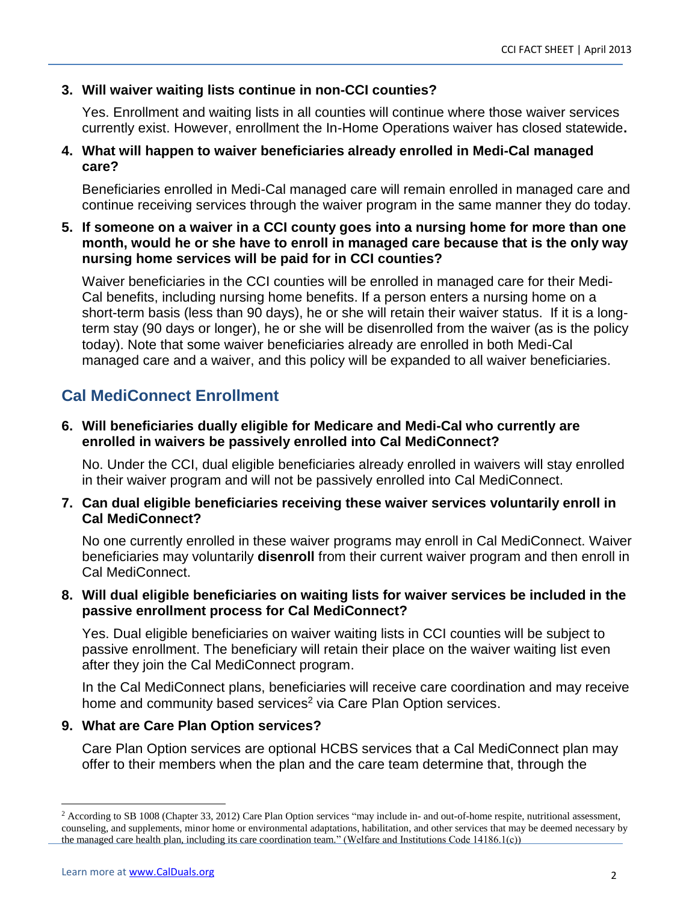### **3. Will waiver waiting lists continue in non-CCI counties?**

Yes. Enrollment and waiting lists in all counties will continue where those waiver services currently exist. However, enrollment the In-Home Operations waiver has closed statewide**.**

### **4. What will happen to waiver beneficiaries already enrolled in Medi-Cal managed care?**

Beneficiaries enrolled in Medi-Cal managed care will remain enrolled in managed care and continue receiving services through the waiver program in the same manner they do today.

### **5. If someone on a waiver in a CCI county goes into a nursing home for more than one month, would he or she have to enroll in managed care because that is the only way nursing home services will be paid for in CCI counties?**

Waiver beneficiaries in the CCI counties will be enrolled in managed care for their Medi-Cal benefits, including nursing home benefits. If a person enters a nursing home on a short-term basis (less than 90 days), he or she will retain their waiver status. If it is a longterm stay (90 days or longer), he or she will be disenrolled from the waiver (as is the policy today). Note that some waiver beneficiaries already are enrolled in both Medi-Cal managed care and a waiver, and this policy will be expanded to all waiver beneficiaries.

### **Cal MediConnect Enrollment**

### **6. Will beneficiaries dually eligible for Medicare and Medi-Cal who currently are enrolled in waivers be passively enrolled into Cal MediConnect?**

No. Under the CCI, dual eligible beneficiaries already enrolled in waivers will stay enrolled in their waiver program and will not be passively enrolled into Cal MediConnect.

### **7. Can dual eligible beneficiaries receiving these waiver services voluntarily enroll in Cal MediConnect?**

No one currently enrolled in these waiver programs may enroll in Cal MediConnect. Waiver beneficiaries may voluntarily **disenroll** from their current waiver program and then enroll in Cal MediConnect.

### **8. Will dual eligible beneficiaries on waiting lists for waiver services be included in the passive enrollment process for Cal MediConnect?**

Yes. Dual eligible beneficiaries on waiver waiting lists in CCI counties will be subject to passive enrollment. The beneficiary will retain their place on the waiver waiting list even after they join the Cal MediConnect program.

In the Cal MediConnect plans, beneficiaries will receive care coordination and may receive home and community based services<sup>2</sup> via Care Plan Option services.

### **9. What are Care Plan Option services?**

Care Plan Option services are optional HCBS services that a Cal MediConnect plan may offer to their members when the plan and the care team determine that, through the

 $\overline{a}$ 

<sup>&</sup>lt;sup>2</sup> According to SB 1008 (Chapter 33, 2012) Care Plan Option services "may include in- and out-of-home respite, nutritional assessment, counseling, and supplements, minor home or environmental adaptations, habilitation, and other services that may be deemed necessary by the managed care health plan, including its care coordination team." (Welfare and Institutions Code 14186.1(c))